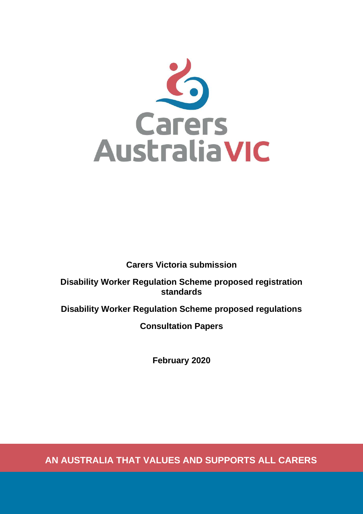

**Carers Victoria submission**

**Disability Worker Regulation Scheme proposed registration standards**

**Disability Worker Regulation Scheme proposed regulations**

**Consultation Papers**

**February 2020**

**AN AUSTRALIA THAT VALUES AND SUPPORTS ALL CARERS**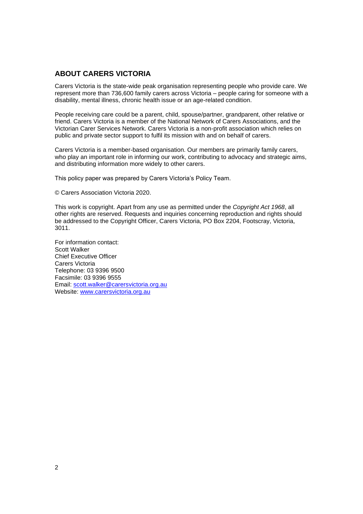# **ABOUT CARERS VICTORIA**

Carers Victoria is the state-wide peak organisation representing people who provide care. We represent more than 736,600 family carers across Victoria – people caring for someone with a disability, mental illness, chronic health issue or an age-related condition.

People receiving care could be a parent, child, spouse/partner, grandparent, other relative or friend. Carers Victoria is a member of the National Network of Carers Associations, and the Victorian Carer Services Network. Carers Victoria is a non-profit association which relies on public and private sector support to fulfil its mission with and on behalf of carers.

Carers Victoria is a member-based organisation. Our members are primarily family carers, who play an important role in informing our work, contributing to advocacy and strategic aims, and distributing information more widely to other carers.

This policy paper was prepared by Carers Victoria's Policy Team.

© Carers Association Victoria 2020.

This work is copyright. Apart from any use as permitted under the *Copyright Act 1968*, all other rights are reserved. Requests and inquiries concerning reproduction and rights should be addressed to the Copyright Officer, Carers Victoria, PO Box 2204, Footscray, Victoria, 3011.

For information contact: Scott Walker Chief Executive Officer Carers Victoria Telephone: 03 9396 9500 Facsimile: 03 9396 9555 Email: [scott.walker@carersvictoria.org.au](mailto:scott.walker@carersvictoria.org.au) Website: [www.carersvictoria.org.au](http://www.carersvictoria.org.au/)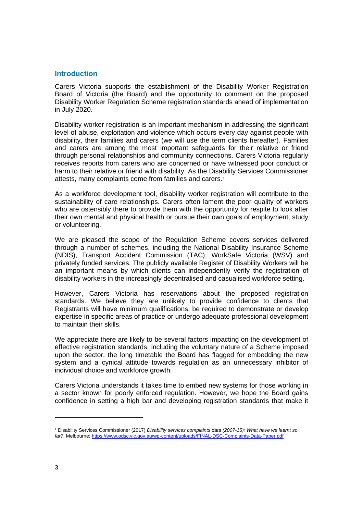# **Introduction**

Carers Victoria supports the establishment of the Disability Worker Registration Board of Victoria (the Board) and the opportunity to comment on the proposed Disability Worker Regulation Scheme registration standards ahead of implementation in July 2020.

Disability worker registration is an important mechanism in addressing the significant level of abuse, exploitation and violence which occurs every day against people with disability, their families and carers (we will use the term clients hereafter). Families and carers are among the most important safeguards for their relative or friend through personal relationships and community connections. Carers Victoria regularly receives reports from carers who are concerned or have witnessed poor conduct or harm to their relative or friend with disability. As the Disability Services Commissioner attests, many complaints come from families and carers.<sup>1</sup>

As a workforce development tool, disability worker registration will contribute to the sustainability of care relationships. Carers often lament the poor quality of workers who are ostensibly there to provide them with the opportunity for respite to look after their own mental and physical health or pursue their own goals of employment, study or volunteering.

We are pleased the scope of the Regulation Scheme covers services delivered through a number of schemes, including the National Disability Insurance Scheme (NDIS), Transport Accident Commission (TAC), WorkSafe Victoria (WSV) and privately funded services. The publicly available Register of Disability Workers will be an important means by which clients can independently verify the registration of disability workers in the increasingly decentralised and casualised workforce setting.

However, Carers Victoria has reservations about the proposed registration standards. We believe they are unlikely to provide confidence to clients that Registrants will have minimum qualifications, be required to demonstrate or develop expertise in specific areas of practice or undergo adequate professional development to maintain their skills.

We appreciate there are likely to be several factors impacting on the development of effective registration standards, including the voluntary nature of a Scheme imposed upon the sector, the long timetable the Board has flagged for embedding the new system and a cynical attitude towards regulation as an unnecessary inhibitor of individual choice and workforce growth.

Carers Victoria understands it takes time to embed new systems for those working in a sector known for poorly enforced regulation. However, we hope the Board gains confidence in setting a high bar and developing registration standards that make it

<sup>1</sup> Disability Services Commissioner (2017) *Disability services complaints data (2007-15): What have we learnt so far?*, Melbourne[; https://www.odsc.vic.gov.au/wp-content/uploads/FINAL-DSC-Complaints-Data-Paper.pdf](https://www.odsc.vic.gov.au/wp-content/uploads/FINAL-DSC-Complaints-Data-Paper.pdf)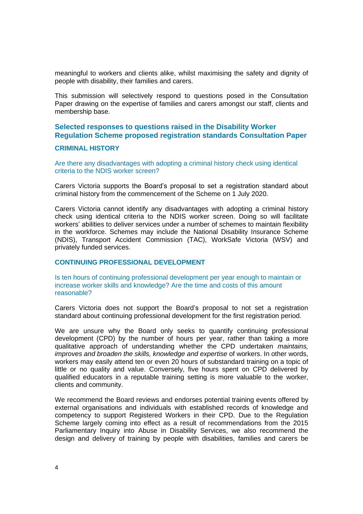meaningful to workers and clients alike, whilst maximising the safety and dignity of people with disability, their families and carers.

This submission will selectively respond to questions posed in the Consultation Paper drawing on the expertise of families and carers amongst our staff, clients and membership base.

# **Selected responses to questions raised in the Disability Worker Regulation Scheme proposed registration standards Consultation Paper**

### **CRIMINAL HISTORY**

Are there any disadvantages with adopting a criminal history check using identical criteria to the NDIS worker screen?

Carers Victoria supports the Board's proposal to set a registration standard about criminal history from the commencement of the Scheme on 1 July 2020.

Carers Victoria cannot identify any disadvantages with adopting a criminal history check using identical criteria to the NDIS worker screen. Doing so will facilitate workers' abilities to deliver services under a number of schemes to maintain flexibility in the workforce. Schemes may include the National Disability Insurance Scheme (NDIS), Transport Accident Commission (TAC), WorkSafe Victoria (WSV) and privately funded services.

### **CONTINUING PROFESSIONAL DEVELOPMENT**

Is ten hours of continuing professional development per year enough to maintain or increase worker skills and knowledge? Are the time and costs of this amount reasonable?

Carers Victoria does not support the Board's proposal to not set a registration standard about continuing professional development for the first registration period.

We are unsure why the Board only seeks to quantify continuing professional development (CPD) by the number of hours per year, rather than taking a more qualitative approach of understanding whether the CPD undertaken *maintains, improves and broaden the skills, knowledge and expertise* of workers. In other words, workers may easily attend ten or even 20 hours of substandard training on a topic of little or no quality and value. Conversely, five hours spent on CPD delivered by qualified educators in a reputable training setting is more valuable to the worker, clients and community.

We recommend the Board reviews and endorses potential training events offered by external organisations and individuals with established records of knowledge and competency to support Registered Workers in their CPD. Due to the Regulation Scheme largely coming into effect as a result of recommendations from the 2015 Parliamentary Inquiry into Abuse in Disability Services, we also recommend the design and delivery of training by people with disabilities, families and carers be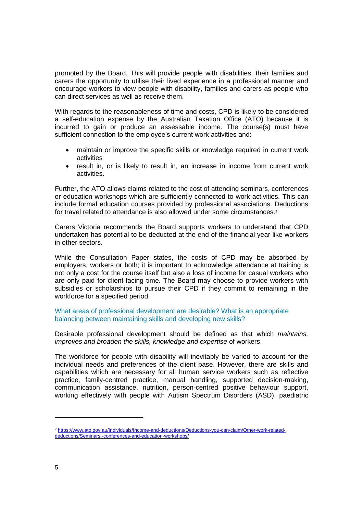promoted by the Board. This will provide people with disabilities, their families and carers the opportunity to utilise their lived experience in a professional manner and encourage workers to view people with disability, families and carers as people who can direct services as well as receive them.

With regards to the reasonableness of time and costs, CPD is likely to be considered a self-education expense by the Australian Taxation Office (ATO) because it is incurred to gain or produce an assessable income. The course(s) must have sufficient connection to the employee's current work activities and:

- maintain or improve the specific skills or knowledge required in current work activities
- result in, or is likely to result in, an increase in income from current work activities.

Further, the ATO allows claims related to the cost of attending seminars, conferences or education workshops which are sufficiently connected to work activities. This can include formal education courses provided by professional associations. Deductions for travel related to attendance is also allowed under some circumstances.<sup>2</sup>

Carers Victoria recommends the Board supports workers to understand that CPD undertaken has potential to be deducted at the end of the financial year like workers in other sectors.

While the Consultation Paper states, the costs of CPD may be absorbed by employers, workers or both; it is important to acknowledge attendance at training is not only a cost for the course itself but also a loss of income for casual workers who are only paid for client-facing time. The Board may choose to provide workers with subsidies or scholarships to pursue their CPD if they commit to remaining in the workforce for a specified period.

What areas of professional development are desirable? What is an appropriate balancing between maintaining skills and developing new skills?

Desirable professional development should be defined as that which *maintains, improves and broaden the skills, knowledge and expertise* of workers.

The workforce for people with disability will inevitably be varied to account for the individual needs and preferences of the client base. However, there are skills and capabilities which are necessary for all human service workers such as reflective practice, family-centred practice, manual handling, supported decision-making, communication assistance, nutrition, person-centred positive behaviour support, working effectively with people with Autism Spectrum Disorders (ASD), paediatric

<sup>2</sup> [https://www.ato.gov.au/Individuals/Income-and-deductions/Deductions-you-can-claim/Other-work-related](https://www.ato.gov.au/Individuals/Income-and-deductions/Deductions-you-can-claim/Other-work-related-deductions/Seminars,-conferences-and-education-workshops/)[deductions/Seminars,-conferences-and-education-workshops/](https://www.ato.gov.au/Individuals/Income-and-deductions/Deductions-you-can-claim/Other-work-related-deductions/Seminars,-conferences-and-education-workshops/)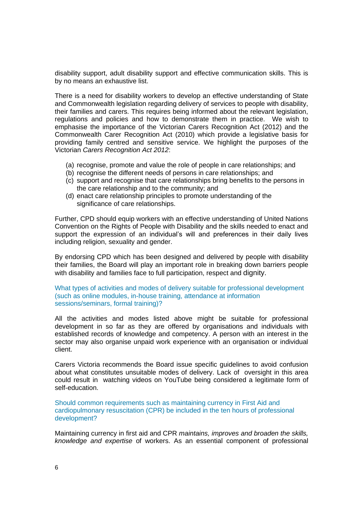disability support, adult disability support and effective communication skills. This is by no means an exhaustive list.

There is a need for disability workers to develop an effective understanding of State and Commonwealth legislation regarding delivery of services to people with disability, their families and carers. This requires being informed about the relevant legislation, regulations and policies and how to demonstrate them in practice. We wish to emphasise the importance of the Victorian Carers Recognition Act (2012) and the Commonwealth Carer Recognition Act (2010) which provide a legislative basis for providing family centred and sensitive service. We highlight the purposes of the Victorian *Carers Recognition Act 2012*:

- (a) recognise, promote and value the role of people in care relationships; and
- (b) recognise the different needs of persons in care relationships; and
- (c) support and recognise that care relationships bring benefits to the persons in the care relationship and to the community; and
- (d) enact care relationship principles to promote understanding of the significance of care relationships.

Further, CPD should equip workers with an effective understanding of United Nations Convention on the Rights of People with Disability and the skills needed to enact and support the expression of an individual's will and preferences in their daily lives including religion, sexuality and gender.

By endorsing CPD which has been designed and delivered by people with disability their families, the Board will play an important role in breaking down barriers people with disability and families face to full participation, respect and dignity.

What types of activities and modes of delivery suitable for professional development (such as online modules, in-house training, attendance at information sessions/seminars, formal training)?

All the activities and modes listed above might be suitable for professional development in so far as they are offered by organisations and individuals with established records of knowledge and competency. A person with an interest in the sector may also organise unpaid work experience with an organisation or individual client.

Carers Victoria recommends the Board issue specific guidelines to avoid confusion about what constitutes unsuitable modes of delivery. Lack of oversight in this area could result in watching videos on YouTube being considered a legitimate form of self-education.

Should common requirements such as maintaining currency in First Aid and cardiopulmonary resuscitation (CPR) be included in the ten hours of professional development?

Maintaining currency in first aid and CPR *maintains, improves and broaden the skills, knowledge and expertise* of workers. As an essential component of professional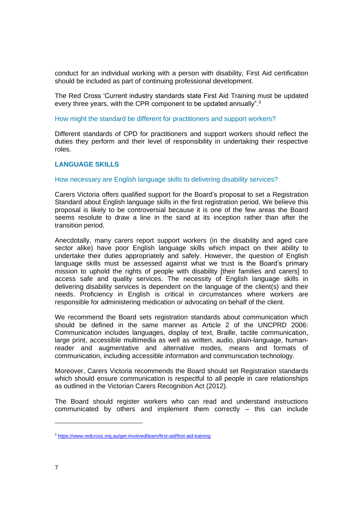conduct for an individual working with a person with disability, First Aid certification should be included as part of continuing professional development.

The Red Cross 'Current industry standards state First Aid Training must be updated every three years, with the CPR component to be updated annually".<sup>3</sup>

#### How might the standard be different for practitioners and support workers?

Different standards of CPD for practitioners and support workers should reflect the duties they perform and their level of responsibility in undertaking their respective roles.

# **LANGUAGE SKILLS**

### How necessary are English language skills to delivering disability services?

Carers Victoria offers qualified support for the Board's proposal to set a Registration Standard about English language skills in the first registration period. We believe this proposal is likely to be controversial because it is one of the few areas the Board seems resolute to draw a line in the sand at its inception rather than after the transition period.

Anecdotally, many carers report support workers (in the disability and aged care sector alike) have poor English language skills which impact on their ability to undertake their duties appropriately and safely. However, the question of English language skills must be assessed against what we trust is the Board's primary mission to uphold the rights of people with disability [their families and carers] to access safe and quality services. The necessity of English language skills in delivering disability services is dependent on the language of the client(s) and their needs. Proficiency in English is critical in circumstances where workers are responsible for administering medication or advocating on behalf of the client.

We recommend the Board sets registration standards about communication which should be defined in the same manner as Article 2 of the UNCPRD 2006: Communication includes languages, display of text, Braille, tactile communication, large print, accessible multimedia as well as written, audio, plain-language, humanreader and augmentative and alternative modes, means and formats of communication, including accessible information and communication technology.

Moreover, Carers Victoria recommends the Board should set Registration standards which should ensure communication is respectful to all people in care relationships as outlined in the Victorian Carers Recognition Act (2012).

The Board should register workers who can read and understand instructions communicated by others and implement them correctly – this can include

<sup>3</sup> <https://www.redcross.org.au/get-involved/learn/first-aid/first-aid-training>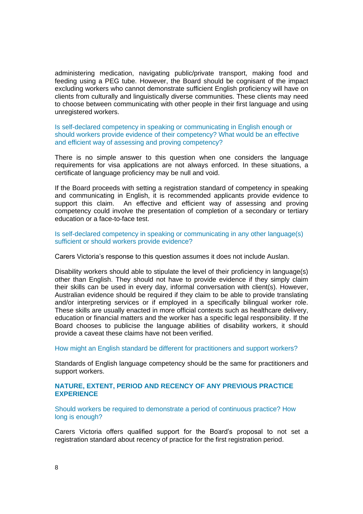administering medication, navigating public/private transport, making food and feeding using a PEG tube. However, the Board should be cognisant of the impact excluding workers who cannot demonstrate sufficient English proficiency will have on clients from culturally and linguistically diverse communities. These clients may need to choose between communicating with other people in their first language and using unregistered workers.

Is self-declared competency in speaking or communicating in English enough or should workers provide evidence of their competency? What would be an effective and efficient way of assessing and proving competency?

There is no simple answer to this question when one considers the language requirements for visa applications are not always enforced. In these situations, a certificate of language proficiency may be null and void.

If the Board proceeds with setting a registration standard of competency in speaking and communicating in English, it is recommended applicants provide evidence to support this claim. An effective and efficient way of assessing and proving An effective and efficient way of assessing and proving competency could involve the presentation of completion of a secondary or tertiary education or a face-to-face test.

Is self-declared competency in speaking or communicating in any other language(s) sufficient or should workers provide evidence?

Carers Victoria's response to this question assumes it does not include Auslan.

Disability workers should able to stipulate the level of their proficiency in language(s) other than English. They should not have to provide evidence if they simply claim their skills can be used in every day, informal conversation with client(s). However, Australian evidence should be required if they claim to be able to provide translating and/or interpreting services or if employed in a specifically bilingual worker role. These skills are usually enacted in more official contexts such as healthcare delivery, education or financial matters and the worker has a specific legal responsibility. If the Board chooses to publicise the language abilities of disability workers, it should provide a caveat these claims have not been verified.

How might an English standard be different for practitioners and support workers?

Standards of English language competency should be the same for practitioners and support workers.

# **NATURE, EXTENT, PERIOD AND RECENCY OF ANY PREVIOUS PRACTICE EXPERIENCE**

Should workers be required to demonstrate a period of continuous practice? How long is enough?

Carers Victoria offers qualified support for the Board's proposal to not set a registration standard about recency of practice for the first registration period.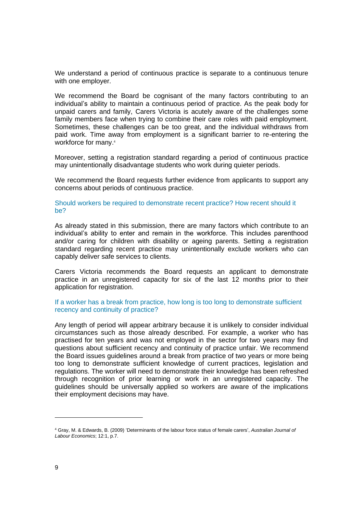We understand a period of continuous practice is separate to a continuous tenure with one employer.

We recommend the Board be cognisant of the many factors contributing to an individual's ability to maintain a continuous period of practice. As the peak body for unpaid carers and family, Carers Victoria is acutely aware of the challenges some family members face when trying to combine their care roles with paid employment. Sometimes, these challenges can be too great, and the individual withdraws from paid work. Time away from employment is a significant barrier to re-entering the workforce for many. 4

Moreover, setting a registration standard regarding a period of continuous practice may unintentionally disadvantage students who work during quieter periods.

We recommend the Board requests further evidence from applicants to support any concerns about periods of continuous practice.

Should workers be required to demonstrate recent practice? How recent should it be?

As already stated in this submission, there are many factors which contribute to an individual's ability to enter and remain in the workforce. This includes parenthood and/or caring for children with disability or ageing parents. Setting a registration standard regarding recent practice may unintentionally exclude workers who can capably deliver safe services to clients.

Carers Victoria recommends the Board requests an applicant to demonstrate practice in an unregistered capacity for six of the last 12 months prior to their application for registration.

# If a worker has a break from practice, how long is too long to demonstrate sufficient recency and continuity of practice?

Any length of period will appear arbitrary because it is unlikely to consider individual circumstances such as those already described. For example, a worker who has practised for ten years and was not employed in the sector for two years may find questions about sufficient recency and continuity of practice unfair. We recommend the Board issues guidelines around a break from practice of two years or more being too long to demonstrate sufficient knowledge of current practices, legislation and regulations. The worker will need to demonstrate their knowledge has been refreshed through recognition of prior learning or work in an unregistered capacity. The guidelines should be universally applied so workers are aware of the implications their employment decisions may have.

<sup>4</sup> Gray, M. & Edwards, B. (2009) 'Determinants of the labour force status of female carers', *Australian Journal of Labour Economics*; 12:1, p.7.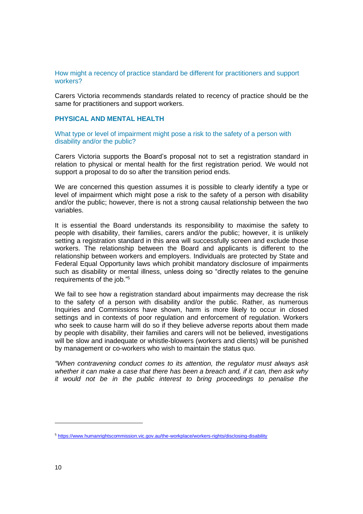### How might a recency of practice standard be different for practitioners and support workers?

Carers Victoria recommends standards related to recency of practice should be the same for practitioners and support workers.

# **PHYSICAL AND MENTAL HEALTH**

What type or level of impairment might pose a risk to the safety of a person with disability and/or the public?

Carers Victoria supports the Board's proposal not to set a registration standard in relation to physical or mental health for the first registration period. We would not support a proposal to do so after the transition period ends.

We are concerned this question assumes it is possible to clearly identify a type or level of impairment which might pose a risk to the safety of a person with disability and/or the public; however, there is not a strong causal relationship between the two variables.

It is essential the Board understands its responsibility to maximise the safety to people with disability, their families, carers and/or the public; however, it is unlikely setting a registration standard in this area will successfully screen and exclude those workers. The relationship between the Board and applicants is different to the relationship between workers and employers. Individuals are protected by State and Federal Equal Opportunity laws which prohibit mandatory disclosure of impairments such as disability or mental illness, unless doing so "directly relates to the genuine requirements of the job."<sup>5</sup>

We fail to see how a registration standard about impairments may decrease the risk to the safety of a person with disability and/or the public. Rather, as numerous Inquiries and Commissions have shown, harm is more likely to occur in closed settings and in contexts of poor regulation and enforcement of regulation. Workers who seek to cause harm will do so if they believe adverse reports about them made by people with disability, their families and carers will not be believed, investigations will be slow and inadequate or whistle-blowers (workers and clients) will be punished by management or co-workers who wish to maintain the status quo.

*"When contravening conduct comes to its attention, the regulator must always ask whether it can make a case that there has been a breach and, if it can, then ask why it would not be in the public interest to bring proceedings to penalise the* 

<sup>5</sup> <https://www.humanrightscommission.vic.gov.au/the-workplace/workers-rights/disclosing-disability>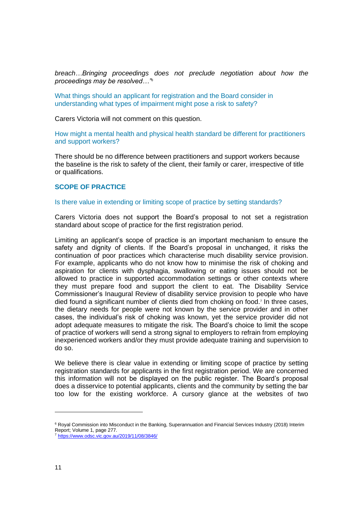*breach…Bringing proceedings does not preclude negotiation about how the proceedings may be resolved…"<sup>6</sup>*

What things should an applicant for registration and the Board consider in understanding what types of impairment might pose a risk to safety?

Carers Victoria will not comment on this question.

How might a mental health and physical health standard be different for practitioners and support workers?

There should be no difference between practitioners and support workers because the baseline is the risk to safety of the client, their family or carer, irrespective of title or qualifications.

### **SCOPE OF PRACTICE**

#### Is there value in extending or limiting scope of practice by setting standards?

Carers Victoria does not support the Board's proposal to not set a registration standard about scope of practice for the first registration period.

Limiting an applicant's scope of practice is an important mechanism to ensure the safety and dignity of clients. If the Board's proposal in unchanged, it risks the continuation of poor practices which characterise much disability service provision. For example, applicants who do not know how to minimise the risk of choking and aspiration for clients with dysphagia, swallowing or eating issues should not be allowed to practice in supported accommodation settings or other contexts where they must prepare food and support the client to eat. The Disability Service Commissioner's Inaugural Review of disability service provision to people who have died found a significant number of clients died from choking on food.<sup>7</sup> In three cases, the dietary needs for people were not known by the service provider and in other cases, the individual's risk of choking was known, yet the service provider did not adopt adequate measures to mitigate the risk. The Board's choice to limit the scope of practice of workers will send a strong signal to employers to refrain from employing inexperienced workers and/or they must provide adequate training and supervision to do so.

We believe there is clear value in extending or limiting scope of practice by setting registration standards for applicants in the first registration period. We are concerned this information will not be displayed on the public register. The Board's proposal does a disservice to potential applicants, clients and the community by setting the bar too low for the existing workforce. A cursory glance at the websites of two

<sup>&</sup>lt;sup>6</sup> Royal Commission into Misconduct in the Banking, Superannuation and Financial Services Industry (2018) Interim Report; Volume 1, page 277.

<sup>7</sup> <https://www.odsc.vic.gov.au/2019/11/08/3846/>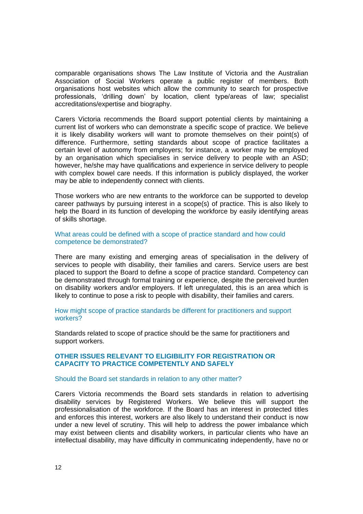comparable organisations shows The Law Institute of Victoria and the Australian Association of Social Workers operate a public register of members. Both organisations host websites which allow the community to search for prospective professionals, 'drilling down' by location, client type/areas of law; specialist accreditations/expertise and biography.

Carers Victoria recommends the Board support potential clients by maintaining a current list of workers who can demonstrate a specific scope of practice. We believe it is likely disability workers will want to promote themselves on their point(s) of difference. Furthermore, setting standards about scope of practice facilitates a certain level of autonomy from employers; for instance, a worker may be employed by an organisation which specialises in service delivery to people with an ASD; however, he/she may have qualifications and experience in service delivery to people with complex bowel care needs. If this information is publicly displayed, the worker may be able to independently connect with clients.

Those workers who are new entrants to the workforce can be supported to develop career pathways by pursuing interest in a scope(s) of practice. This is also likely to help the Board in its function of developing the workforce by easily identifying areas of skills shortage.

### What areas could be defined with a scope of practice standard and how could competence be demonstrated?

There are many existing and emerging areas of specialisation in the delivery of services to people with disability, their families and carers. Service users are best placed to support the Board to define a scope of practice standard. Competency can be demonstrated through formal training or experience, despite the perceived burden on disability workers and/or employers. If left unregulated, this is an area which is likely to continue to pose a risk to people with disability, their families and carers.

How might scope of practice standards be different for practitioners and support workers?

Standards related to scope of practice should be the same for practitioners and support workers.

### **OTHER ISSUES RELEVANT TO ELIGIBILITY FOR REGISTRATION OR CAPACITY TO PRACTICE COMPETENTLY AND SAFELY**

### Should the Board set standards in relation to any other matter?

Carers Victoria recommends the Board sets standards in relation to advertising disability services by Registered Workers. We believe this will support the professionalisation of the workforce. If the Board has an interest in protected titles and enforces this interest, workers are also likely to understand their conduct is now under a new level of scrutiny. This will help to address the power imbalance which may exist between clients and disability workers, in particular clients who have an intellectual disability, may have difficulty in communicating independently, have no or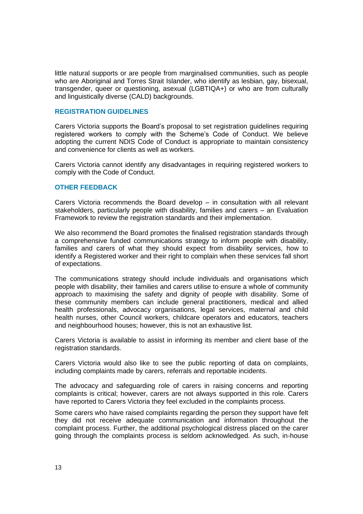little natural supports or are people from marginalised communities, such as people who are Aboriginal and Torres Strait Islander, who identify as lesbian, gay, bisexual, transgender, queer or questioning, asexual (LGBTIQA+) or who are from culturally and linguistically diverse (CALD) backgrounds.

### **REGISTRATION GUIDELINES**

Carers Victoria supports the Board's proposal to set registration guidelines requiring registered workers to comply with the Scheme's Code of Conduct. We believe adopting the current NDIS Code of Conduct is appropriate to maintain consistency and convenience for clients as well as workers.

Carers Victoria cannot identify any disadvantages in requiring registered workers to comply with the Code of Conduct.

### **OTHER FEEDBACK**

Carers Victoria recommends the Board develop – in consultation with all relevant stakeholders, particularly people with disability, families and carers – an Evaluation Framework to review the registration standards and their implementation.

We also recommend the Board promotes the finalised registration standards through a comprehensive funded communications strategy to inform people with disability, families and carers of what they should expect from disability services, how to identify a Registered worker and their right to complain when these services fall short of expectations.

The communications strategy should include individuals and organisations which people with disability, their families and carers utilise to ensure a whole of community approach to maximising the safety and dignity of people with disability. Some of these community members can include general practitioners, medical and allied health professionals, advocacy organisations, legal services, maternal and child health nurses, other Council workers, childcare operators and educators, teachers and neighbourhood houses; however, this is not an exhaustive list.

Carers Victoria is available to assist in informing its member and client base of the registration standards.

Carers Victoria would also like to see the public reporting of data on complaints, including complaints made by carers, referrals and reportable incidents.

The advocacy and safeguarding role of carers in raising concerns and reporting complaints is critical; however, carers are not always supported in this role. Carers have reported to Carers Victoria they feel excluded in the complaints process.

Some carers who have raised complaints regarding the person they support have felt they did not receive adequate communication and information throughout the complaint process. Further, the additional psychological distress placed on the carer going through the complaints process is seldom acknowledged. As such, in-house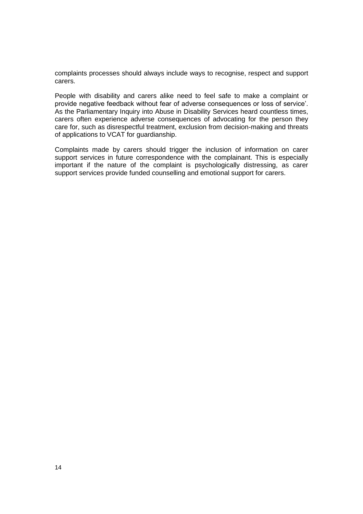complaints processes should always include ways to recognise, respect and support carers.

People with disability and carers alike need to feel safe to make a complaint or provide negative feedback without fear of adverse consequences or loss of service'. As the Parliamentary Inquiry into Abuse in Disability Services heard countless times, carers often experience adverse consequences of advocating for the person they care for, such as disrespectful treatment, exclusion from decision-making and threats of applications to VCAT for guardianship.

Complaints made by carers should trigger the inclusion of information on carer support services in future correspondence with the complainant. This is especially important if the nature of the complaint is psychologically distressing, as carer support services provide funded counselling and emotional support for carers.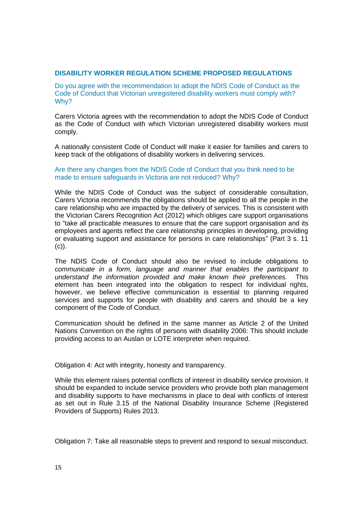# **DISABILITY WORKER REGULATION SCHEME PROPOSED REGULATIONS**

Do you agree with the recommendation to adopt the NDIS Code of Conduct as the Code of Conduct that Victorian unregistered disability workers must comply with? Why?

Carers Victoria agrees with the recommendation to adopt the NDIS Code of Conduct as the Code of Conduct with which Victorian unregistered disability workers must comply.

A nationally consistent Code of Conduct will make it easier for families and carers to keep track of the obligations of disability workers in delivering services.

### Are there any changes from the NDIS Code of Conduct that you think need to be made to ensure safeguards in Victoria are not reduced? Why?

While the NDIS Code of Conduct was the subject of considerable consultation, Carers Victoria recommends the obligations should be applied to all the people in the care relationship who are impacted by the delivery of services. This is consistent with the Victorian Carers Recognition Act (2012) which obliges care support organisations to "take all practicable measures to ensure that the care support organisation and its employees and agents reflect the care relationship principles in developing, providing or evaluating support and assistance for persons in care relationships" (Part 3 s. 11  $(c)$ ).

The NDIS Code of Conduct should also be revised to include obligations to c*ommunicate in a form, language and manner that enables the participant to understand the information provided and make known their preferences.* This element has been integrated into the obligation to respect for individual rights, however, we believe effective communication is essential to planning required services and supports for people with disability and carers and should be a key component of the Code of Conduct.

Communication should be defined in the same manner as Article 2 of the United Nations Convention on the rights of persons with disability 2006: This should include providing access to an Auslan or LOTE interpreter when required.

Obligation 4: Act with integrity, honesty and transparency.

While this element raises potential conflicts of interest in disability service provision, it should be expanded to include service providers who provide both plan management and disability supports to have mechanisms in place to deal with conflicts of interest as set out in Rule 3.15 of the National Disability Insurance Scheme (Registered Providers of Supports) Rules 2013.

Obligation 7: Take all reasonable steps to prevent and respond to sexual misconduct.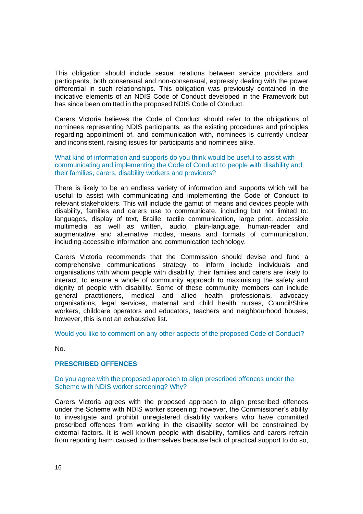This obligation should include sexual relations between service providers and participants, both consensual and non-consensual, expressly dealing with the power differential in such relationships. This obligation was previously contained in the indicative elements of an NDIS Code of Conduct developed in the Framework but has since been omitted in the proposed NDIS Code of Conduct.

Carers Victoria believes the Code of Conduct should refer to the obligations of nominees representing NDIS participants, as the existing procedures and principles regarding appointment of, and communication with, nominees is currently unclear and inconsistent, raising issues for participants and nominees alike.

What kind of information and supports do you think would be useful to assist with communicating and implementing the Code of Conduct to people with disability and their families, carers, disability workers and providers?

There is likely to be an endless variety of information and supports which will be useful to assist with communicating and implementing the Code of Conduct to relevant stakeholders. This will include the gamut of means and devices people with disability, families and carers use to communicate, including but not limited to: languages, display of text, Braille, tactile communication, large print, accessible multimedia as well as written, audio, plain-language, human-reader and augmentative and alternative modes, means and formats of communication, including accessible information and communication technology.

Carers Victoria recommends that the Commission should devise and fund a comprehensive communications strategy to inform include individuals and organisations with whom people with disability, their families and carers are likely to interact, to ensure a whole of community approach to maximising the safety and dignity of people with disability. Some of these community members can include general practitioners, medical and allied health professionals, advocacy organisations, legal services, maternal and child health nurses, Council/Shire workers, childcare operators and educators, teachers and neighbourhood houses; however, this is not an exhaustive list.

Would you like to comment on any other aspects of the proposed Code of Conduct?

No.

# **PRESCRIBED OFFENCES**

### Do you agree with the proposed approach to align prescribed offences under the Scheme with NDIS worker screening? Why?

Carers Victoria agrees with the proposed approach to align prescribed offences under the Scheme with NDIS worker screening; however, the Commissioner's ability to investigate and prohibit unregistered disability workers who have committed prescribed offences from working in the disability sector will be constrained by external factors. It is well known people with disability, families and carers refrain from reporting harm caused to themselves because lack of practical support to do so,